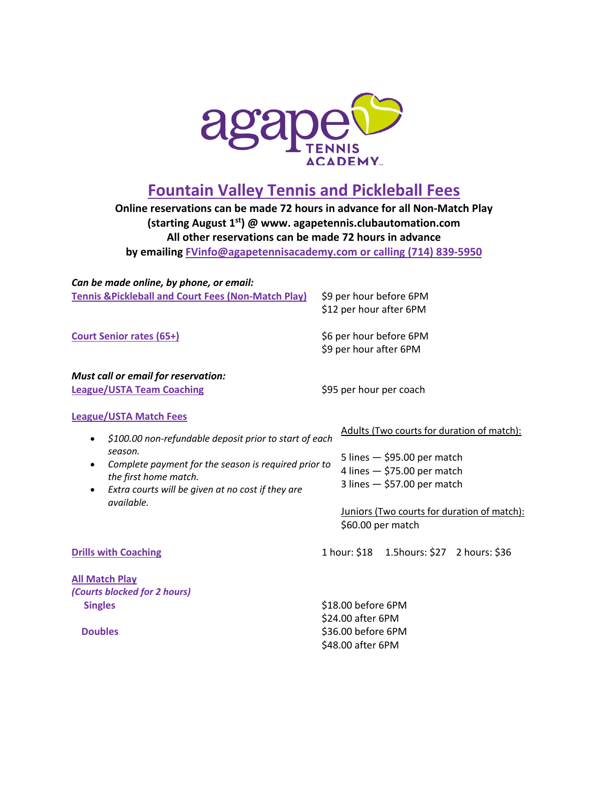

## **Fountain Valley Tennis and Pickleball Fees**

**Online reservations can be made 72 hours in advance for all Non-Match Play (starting August 1st) @ www. agapetennis.clubautomation.com All other reservations can be made 72 hours in advance by emailing FVinfo@agapetennisacademy.com or calling (714) 839-5950**

*Can be made online, by phone, or email:*  **Tennis &Pickleball and Court Fees (Non-Match Play)** \$9 per hour before 6PM \$12 per hour after 6PM **Court Senior rates (65+)**  $\begin{array}{c} 6 \times 10^8 \text{ J} & \text{MeV} \\ \text{6} \times 10^8 & \text{MeV} \end{array}$ \$9 per hour after 6PM *Must call or email for reservation:*  League/USTA Team Coaching **Example 2018** \$95 per hour per coach **League/USTA Match Fees** • *\$100.00 non-refundable deposit prior to start of each season.*  • *Complete payment for the season is required prior to the first home match.*  • *Extra courts will be given at no cost if they are available.*  Adults (Two courts for duration of match): 5 lines — \$95.00 per match 4 lines — \$75.00 per match 3 lines — \$57.00 per match Juniors (Two courts for duration of match): \$60.00 per match **Drills with Coaching** 1 hour: \$18 1.5hours: \$27 2 hours: \$36 **All Match Play** *(Courts blocked for 2 hours)* **Singles** \$18.00 before 6PM \$24.00 after 6PM **Doubles S36.00** before 6PM \$48.00 after 6PM